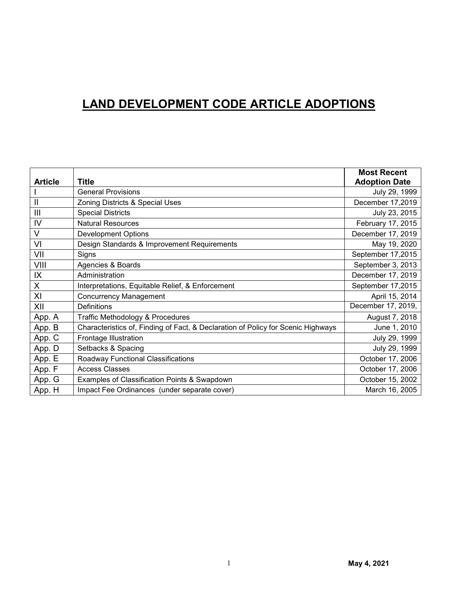## **LAND DEVELOPMENT CODE ARTICLE ADOPTIONS**

|                |                                                                                  | <b>Most Recent</b>   |
|----------------|----------------------------------------------------------------------------------|----------------------|
| <b>Article</b> | <b>Title</b>                                                                     | <b>Adoption Date</b> |
|                | <b>General Provisions</b>                                                        | July 29, 1999        |
| $\mathbf{I}$   | Zoning Districts & Special Uses                                                  | December 17,2019     |
| $\mathbf{III}$ | <b>Special Districts</b>                                                         | July 23, 2015        |
| IV             | <b>Natural Resources</b>                                                         | February 17, 2015    |
| $\vee$         | <b>Development Options</b>                                                       | December 17, 2019    |
| VI             | Design Standards & Improvement Requirements                                      | May 19, 2020         |
| VII            | Signs                                                                            | September 17,2015    |
| VIII           | Agencies & Boards                                                                | September 3, 2013    |
| IX             | Administration                                                                   | December 17, 2019    |
| X              | Interpretations, Equitable Relief, & Enforcement                                 | September 17,2015    |
| XI             | <b>Concurrency Management</b>                                                    | April 15, 2014       |
| XII            | <b>Definitions</b>                                                               | December 17, 2019,   |
| App. A         | Traffic Methodology & Procedures                                                 | August 7, 2018       |
| App. B         | Characteristics of, Finding of Fact, & Declaration of Policy for Scenic Highways | June 1, 2010         |
| App. C         | Frontage Illustration                                                            | July 29, 1999        |
| App. D         | Setbacks & Spacing                                                               | July 29, 1999        |
| App. E         | Roadway Functional Classifications                                               | October 17, 2006     |
| App. F         | <b>Access Classes</b>                                                            | October 17, 2006     |
| App. G         | Examples of Classification Points & Swapdown                                     | October 15, 2002     |
| App. H         | Impact Fee Ordinances (under separate cover)                                     | March 16, 2005       |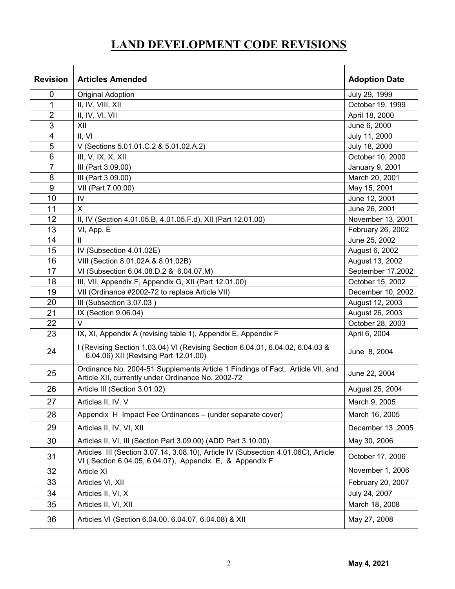# **LAND DEVELOPMENT CODE REVISIONS**

| <b>Revision</b> | <b>Articles Amended</b>                                                                                                                       | <b>Adoption Date</b> |
|-----------------|-----------------------------------------------------------------------------------------------------------------------------------------------|----------------------|
| $\mathbf 0$     | <b>Original Adoption</b>                                                                                                                      | July 29, 1999        |
| 1               | II, IV, VIII, XII                                                                                                                             | October 19, 1999     |
| $\overline{2}$  | II, IV, VI, VII                                                                                                                               | April 18, 2000       |
| 3               | XII                                                                                                                                           | June 6, 2000         |
| 4               | II, VI                                                                                                                                        | July 11, 2000        |
| 5               | V (Sections 5.01.01.C.2 & 5.01.02.A.2)                                                                                                        | July 18, 2000        |
| 6               | III, $V$ , $IX$ , $X$ , $XII$                                                                                                                 | October 10, 2000     |
| $\overline{7}$  | III (Part 3.09.00)                                                                                                                            | January 9, 2001      |
| 8               | III (Part 3.09.00)                                                                                                                            | March 20, 2001       |
| 9               | VII (Part 7.00.00)                                                                                                                            | May 15, 2001         |
| 10              | IV                                                                                                                                            | June 12, 2001        |
| 11              | $\mathsf{X}$                                                                                                                                  | June 26, 2001        |
| 12              | II, IV (Section 4.01.05.B, 4.01.05.F.d), XII (Part 12.01.00)                                                                                  | November 13, 2001    |
| 13              | VI, App. E                                                                                                                                    | February 26, 2002    |
| 14              | Ш                                                                                                                                             | June 25, 2002        |
| 15              | IV (Subsection 4.01.02E)                                                                                                                      | August 6, 2002       |
| 16              | VIII (Section 8.01.02A & 8.01.02B)                                                                                                            | August 13, 2002      |
| 17              | VI (Subsection 6.04.08.D.2 & 6.04.07.M)                                                                                                       | September 17,2002    |
| 18              | III, VII, Appendix F, Appendix G, XII (Part 12.01.00)                                                                                         | October 15, 2002     |
| 19              | VII (Ordinance #2002-72 to replace Article VII)                                                                                               | December 10, 2002    |
| 20              | III (Subsection 3.07.03)                                                                                                                      | August 12, 2003      |
| 21              | IX (Section 9.06.04)                                                                                                                          | August 26, 2003      |
| 22              | $\vee$                                                                                                                                        | October 28, 2003     |
| 23              | IX, XI, Appendix A (revising table 1), Appendix E, Appendix F                                                                                 | April 6, 2004        |
| 24              | I (Revising Section 1.03.04) VI (Revising Section 6.04.01, 6.04.02, 6.04.03 &<br>6.04.06) XII (Revising Part 12.01.00)                        | June 8, 2004         |
| 25              | Ordinance No. 2004-51 Supplements Article 1 Findings of Fact, Article VII, and<br>Article XII, currently under Ordinance No. 2002-72          | June 22, 2004        |
| 26              | Article III (Section 3.01.02)                                                                                                                 | August 25, 2004      |
| 27              | Articles II, IV, V                                                                                                                            | March 9, 2005        |
| 28              | Appendix H Impact Fee Ordinances - (under separate cover)                                                                                     | March 16, 2005       |
| 29              | Articles II, IV, VI, XII                                                                                                                      | December 13,2005     |
| 30              | Articles II, VI, III (Section Part 3.09.00) (ADD Part 3.10.00)                                                                                | May 30, 2006         |
| 31              | Articles III (Section 3.07.14, 3.08.10), Article IV (Subsection 4.01.06C), Article<br>VI (Section 6.04.05, 6.04.07), Appendix E, & Appendix F | October 17, 2006     |
| 32              | Article XI                                                                                                                                    | November 1, 2006     |
| 33              | Articles VI, XII                                                                                                                              | February 20, 2007    |
| 34              | Articles II, VI, X                                                                                                                            | July 24, 2007        |
| 35              | Articles II, VI, XII                                                                                                                          | March 18, 2008       |
| 36              | Articles VI (Section 6.04.00, 6.04.07, 6.04.08) & XII                                                                                         | May 27, 2008         |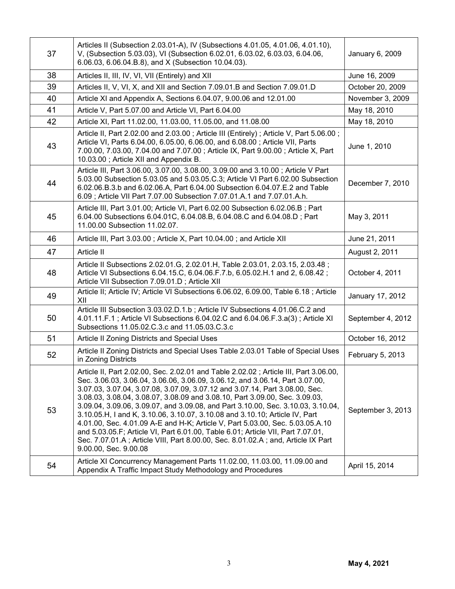| 37 | Articles II (Subsection 2.03.01-A), IV (Subsections 4.01.05, 4.01.06, 4.01.10),<br>V, (Subsection 5.03.03), VI (Subsection 6.02.01, 6.03.02, 6.03.03, 6.04.06,<br>6.06.03, 6.06.04.B.8), and X (Subsection 10.04.03).                                                                                                                                                                                                                                                                                                                                                                                                                                                                                                                                                                  | January 6, 2009   |
|----|----------------------------------------------------------------------------------------------------------------------------------------------------------------------------------------------------------------------------------------------------------------------------------------------------------------------------------------------------------------------------------------------------------------------------------------------------------------------------------------------------------------------------------------------------------------------------------------------------------------------------------------------------------------------------------------------------------------------------------------------------------------------------------------|-------------------|
| 38 | Articles II, III, IV, VI, VII (Entirely) and XII                                                                                                                                                                                                                                                                                                                                                                                                                                                                                                                                                                                                                                                                                                                                       | June 16, 2009     |
| 39 | Articles II, V, VI, X, and XII and Section 7.09.01.B and Section 7.09.01.D                                                                                                                                                                                                                                                                                                                                                                                                                                                                                                                                                                                                                                                                                                             | October 20, 2009  |
| 40 | Article XI and Appendix A, Sections 6.04.07, 9.00.06 and 12.01.00                                                                                                                                                                                                                                                                                                                                                                                                                                                                                                                                                                                                                                                                                                                      | November 3, 2009  |
| 41 | Article V, Part 5.07.00 and Article VI, Part 6.04.00                                                                                                                                                                                                                                                                                                                                                                                                                                                                                                                                                                                                                                                                                                                                   | May 18, 2010      |
| 42 | Article XI, Part 11.02.00, 11.03.00, 11.05.00, and 11.08.00                                                                                                                                                                                                                                                                                                                                                                                                                                                                                                                                                                                                                                                                                                                            | May 18, 2010      |
| 43 | Article II, Part 2.02.00 and 2.03.00; Article III (Entirely); Article V, Part 5.06.00;<br>Article VI, Parts 6.04.00, 6.05.00, 6.06.00, and 6.08.00; Article VII, Parts<br>7.00.00, 7.03.00, 7.04.00 and 7.07.00; Article IX, Part 9.00.00; Article X, Part<br>10.03.00; Article XII and Appendix B.                                                                                                                                                                                                                                                                                                                                                                                                                                                                                    | June 1, 2010      |
| 44 | Article III, Part 3.06.00, 3.07.00, 3.08.00, 3.09.00 and 3.10.00; Article V Part<br>5.03.00 Subsection 5.03.05 and 5.03.05.C.3; Article VI Part 6.02.00 Subsection<br>6.02.06.B.3.b and 6.02.06.A, Part 6.04.00 Subsection 6.04.07.E.2 and Table<br>6.09; Article VII Part 7.07.00 Subsection 7.07.01.A.1 and 7.07.01.A.h.                                                                                                                                                                                                                                                                                                                                                                                                                                                             | December 7, 2010  |
| 45 | Article III, Part 3.01.00; Article VI, Part 6.02.00 Subsection 6.02.06.B; Part<br>6.04.00 Subsections 6.04.01C, 6.04.08.B, 6.04.08.C and 6.04.08.D; Part<br>11.00.00 Subsection 11.02.07.                                                                                                                                                                                                                                                                                                                                                                                                                                                                                                                                                                                              | May 3, 2011       |
| 46 | Article III, Part 3.03.00; Article X, Part 10.04.00; and Article XII                                                                                                                                                                                                                                                                                                                                                                                                                                                                                                                                                                                                                                                                                                                   | June 21, 2011     |
| 47 | Article II                                                                                                                                                                                                                                                                                                                                                                                                                                                                                                                                                                                                                                                                                                                                                                             | August 2, 2011    |
| 48 | Article II Subsections 2.02.01.G, 2.02.01.H, Table 2.03.01, 2.03.15, 2.03.48;<br>Article VI Subsections 6.04.15.C, 6.04.06.F.7.b, 6.05.02.H.1 and 2, 6.08.42;<br>Article VII Subsection 7.09.01.D; Article XII                                                                                                                                                                                                                                                                                                                                                                                                                                                                                                                                                                         | October 4, 2011   |
| 49 | Article II; Article IV; Article VI Subsections 6.06.02, 6.09.00, Table 6.18; Article<br>XII                                                                                                                                                                                                                                                                                                                                                                                                                                                                                                                                                                                                                                                                                            | January 17, 2012  |
| 50 | Article III Subsection 3.03.02.D.1.b ; Article IV Subsections 4.01.06.C.2 and<br>4.01.11.F.1; Article VI Subsections 6.04.02.C and 6.04.06.F.3.a(3); Article XI<br>Subsections 11.05.02.C.3.c and 11.05.03.C.3.c                                                                                                                                                                                                                                                                                                                                                                                                                                                                                                                                                                       | September 4, 2012 |
| 51 | Article II Zoning Districts and Special Uses                                                                                                                                                                                                                                                                                                                                                                                                                                                                                                                                                                                                                                                                                                                                           | October 16, 2012  |
| 52 | Article II Zoning Districts and Special Uses Table 2.03.01 Table of Special Uses<br>in Zoning Districts                                                                                                                                                                                                                                                                                                                                                                                                                                                                                                                                                                                                                                                                                | February 5, 2013  |
| 53 | Article II, Part 2.02.00, Sec. 2.02.01 and Table 2.02.02; Article III, Part 3.06.00,<br>Sec. 3.06.03, 3.06.04, 3.06.06, 3.06.09, 3.06.12, and 3.06.14, Part 3.07.00,<br>3.07.03, 3.07.04, 3.07.08, 3.07.09, 3.07.12 and 3.07.14, Part 3.08.00, Sec.<br>3.08.03, 3.08.04, 3.08.07, 3.08.09 and 3.08.10, Part 3.09.00, Sec. 3.09.03,<br>3.09.04, 3.09.06, 3.09.07, and 3.09.08, and Part 3.10.00, Sec. 3.10.03, 3.10.04,<br>3.10.05.H, I and K, 3.10.06, 3.10.07, 3.10.08 and 3.10.10; Article IV, Part<br>4.01.00, Sec. 4.01.09 A-E and H-K; Article V, Part 5.03.00, Sec. 5.03.05.A.10<br>and 5.03.05.F; Article VI, Part 6.01.00, Table 6.01; Article VII, Part 7.07.01,<br>Sec. 7.07.01.A; Article VIII, Part 8.00.00, Sec. 8.01.02.A; and, Article IX Part<br>9.00.00, Sec. 9.00.08 | September 3, 2013 |
| 54 | Article XI Concurrency Management Parts 11.02.00, 11.03.00, 11.09.00 and<br>Appendix A Traffic Impact Study Methodology and Procedures                                                                                                                                                                                                                                                                                                                                                                                                                                                                                                                                                                                                                                                 | April 15, 2014    |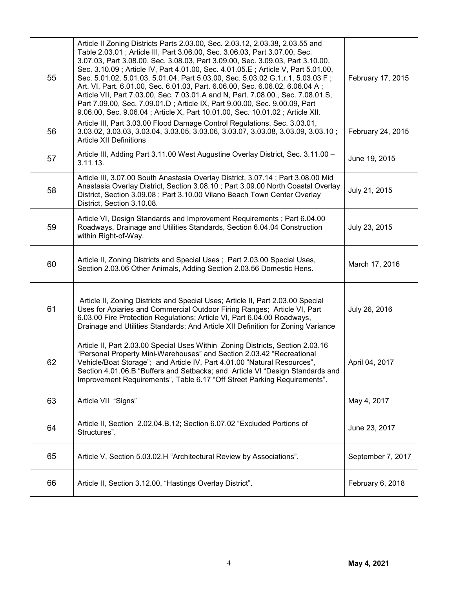| 55 | Article II Zoning Districts Parts 2.03.00, Sec. 2.03.12, 2.03.38, 2.03.55 and<br>Table 2.03.01; Article III, Part 3.06.00, Sec. 3.06.03, Part 3.07.00, Sec.<br>3.07.03, Part 3.08.00, Sec. 3.08.03, Part 3.09.00, Sec. 3.09.03, Part 3.10.00,<br>Sec. 3.10.09; Article IV, Part 4.01.00, Sec. 4.01.05.E; Article V, Part 5.01.00,<br>Sec. 5.01.02, 5.01.03, 5.01.04, Part 5.03.00, Sec. 5.03.02 G.1.r.1, 5.03.03 F;<br>Art. VI, Part. 6.01.00, Sec. 6.01.03, Part. 6.06.00, Sec. 6.06.02, 6.06.04 A;<br>Article VII, Part 7.03.00, Sec. 7.03.01.A and N, Part. 7.08.00., Sec. 7.08.01.S,<br>Part 7.09.00, Sec. 7.09.01.D; Article IX, Part 9.00.00, Sec. 9.00.09, Part<br>9.06.00, Sec. 9.06.04; Article X, Part 10.01.00, Sec. 10.01.02; Article XII. | February 17, 2015 |
|----|--------------------------------------------------------------------------------------------------------------------------------------------------------------------------------------------------------------------------------------------------------------------------------------------------------------------------------------------------------------------------------------------------------------------------------------------------------------------------------------------------------------------------------------------------------------------------------------------------------------------------------------------------------------------------------------------------------------------------------------------------------|-------------------|
| 56 | Article III, Part 3.03.00 Flood Damage Control Regulations, Sec. 3.03.01,<br>3.03.02, 3.03.03, 3.03.04, 3.03.05, 3.03.06, 3.03.07, 3.03.08, 3.03.09, 3.03.10;<br><b>Article XII Definitions</b>                                                                                                                                                                                                                                                                                                                                                                                                                                                                                                                                                        | February 24, 2015 |
| 57 | Article III, Adding Part 3.11.00 West Augustine Overlay District, Sec. 3.11.00 -<br>3.11.13.                                                                                                                                                                                                                                                                                                                                                                                                                                                                                                                                                                                                                                                           | June 19, 2015     |
| 58 | Article III, 3.07.00 South Anastasia Overlay District, 3.07.14; Part 3.08.00 Mid<br>Anastasia Overlay District, Section 3.08.10; Part 3.09.00 North Coastal Overlay<br>District, Section 3.09.08 ; Part 3.10.00 Vilano Beach Town Center Overlay<br>District, Section 3.10.08.                                                                                                                                                                                                                                                                                                                                                                                                                                                                         | July 21, 2015     |
| 59 | Article VI, Design Standards and Improvement Requirements; Part 6.04.00<br>Roadways, Drainage and Utilities Standards, Section 6.04.04 Construction<br>within Right-of-Way.                                                                                                                                                                                                                                                                                                                                                                                                                                                                                                                                                                            | July 23, 2015     |
| 60 | Article II, Zoning Districts and Special Uses; Part 2.03.00 Special Uses,<br>Section 2.03.06 Other Animals, Adding Section 2.03.56 Domestic Hens.                                                                                                                                                                                                                                                                                                                                                                                                                                                                                                                                                                                                      | March 17, 2016    |
| 61 | Article II, Zoning Districts and Special Uses; Article II, Part 2.03.00 Special<br>Uses for Apiaries and Commercial Outdoor Firing Ranges; Article VI, Part<br>6.03.00 Fire Protection Regulations; Article VI, Part 6.04.00 Roadways,<br>Drainage and Utilities Standards; And Article XII Definition for Zoning Variance                                                                                                                                                                                                                                                                                                                                                                                                                             | July 26, 2016     |
| 62 | Article II, Part 2.03.00 Special Uses Within Zoning Districts, Section 2.03.16<br>"Personal Property Mini-Warehouses" and Section 2.03.42 "Recreational<br>Vehicle/Boat Storage"; and Article IV, Part 4.01.00 "Natural Resources",<br>Section 4.01.06.B "Buffers and Setbacks; and Article VI "Design Standards and<br>Improvement Requirements", Table 6.17 "Off Street Parking Requirements".                                                                                                                                                                                                                                                                                                                                                       | April 04, 2017    |
| 63 | Article VII "Signs"                                                                                                                                                                                                                                                                                                                                                                                                                                                                                                                                                                                                                                                                                                                                    | May 4, 2017       |
| 64 | Article II, Section 2.02.04.B.12; Section 6.07.02 "Excluded Portions of<br>Structures".                                                                                                                                                                                                                                                                                                                                                                                                                                                                                                                                                                                                                                                                | June 23, 2017     |
| 65 | Article V, Section 5.03.02.H "Architectural Review by Associations".                                                                                                                                                                                                                                                                                                                                                                                                                                                                                                                                                                                                                                                                                   | September 7, 2017 |
| 66 | Article II, Section 3.12.00, "Hastings Overlay District".                                                                                                                                                                                                                                                                                                                                                                                                                                                                                                                                                                                                                                                                                              | February 6, 2018  |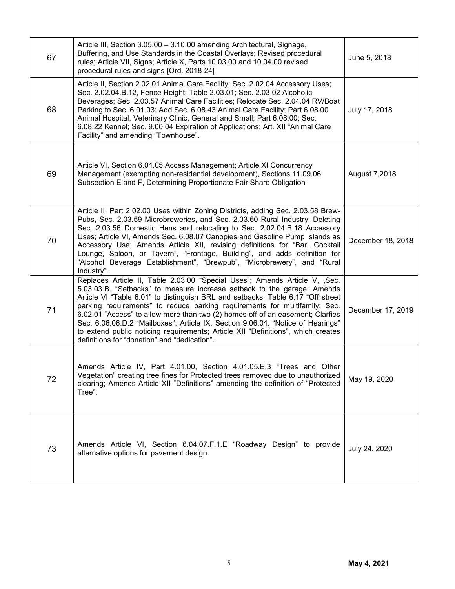| 67 | Article III, Section 3.05.00 - 3.10.00 amending Architectural, Signage,<br>Buffering, and Use Standards in the Coastal Overlays; Revised procedural<br>rules; Article VII, Signs; Article X, Parts 10.03.00 and 10.04.00 revised<br>procedural rules and signs [Ord. 2018-24]                                                                                                                                                                                                                                                                                                                                                   | June 5, 2018      |
|----|---------------------------------------------------------------------------------------------------------------------------------------------------------------------------------------------------------------------------------------------------------------------------------------------------------------------------------------------------------------------------------------------------------------------------------------------------------------------------------------------------------------------------------------------------------------------------------------------------------------------------------|-------------------|
| 68 | Article II, Section 2.02.01 Animal Care Facility; Sec. 2.02.04 Accessory Uses;<br>Sec. 2.02.04.B.12, Fence Height; Table 2.03.01; Sec. 2.03.02 Alcoholic<br>Beverages; Sec. 2.03.57 Animal Care Facilities; Relocate Sec. 2.04.04 RV/Boat<br>Parking to Sec. 6.01.03; Add Sec. 6.08.43 Animal Care Facility; Part 6.08.00<br>Animal Hospital, Veterinary Clinic, General and Small; Part 6.08.00; Sec.<br>6.08.22 Kennel; Sec. 9.00.04 Expiration of Applications; Art. XII "Animal Care<br>Facility" and amending "Townhouse".                                                                                                 | July 17, 2018     |
| 69 | Article VI, Section 6.04.05 Access Management; Article XI Concurrency<br>Management (exempting non-residential development), Sections 11.09.06,<br>Subsection E and F, Determining Proportionate Fair Share Obligation                                                                                                                                                                                                                                                                                                                                                                                                          | August 7,2018     |
| 70 | Article II, Part 2.02.00 Uses within Zoning Districts, adding Sec. 2.03.58 Brew-<br>Pubs, Sec. 2.03.59 Microbreweries, and Sec. 2.03.60 Rural Industry; Deleting<br>Sec. 2.03.56 Domestic Hens and relocating to Sec. 2.02.04.B.18 Accessory<br>Uses; Article VI, Amends Sec. 6.08.07 Canopies and Gasoline Pump Islands as<br>Accessory Use; Amends Article XII, revising definitions for "Bar, Cocktail<br>Lounge, Saloon, or Tavern", "Frontage, Building", and adds definition for<br>"Alcohol Beverage Establishment", "Brewpub", "Microbrewery", and "Rural<br>Industry".                                                 | December 18, 2018 |
| 71 | Replaces Article II, Table 2.03.00 "Special Uses"; Amends Article V, ,Sec.<br>5.03.03.B. "Setbacks" to measure increase setback to the garage; Amends<br>Article VI "Table 6.01" to distinguish BRL and setbacks; Table 6.17 "Off street<br>parking requirements" to reduce parking requirements for multifamily; Sec.<br>6.02.01 "Access" to allow more than two (2) homes off of an easement; Clarfies<br>Sec. 6.06.06.D.2 "Mailboxes"; Article IX, Section 9.06.04. "Notice of Hearings"<br>to extend public noticing requirements; Article XII "Definitions", which creates<br>definitions for "donation" and "dedication". | December 17, 2019 |
| 72 | Amends Article IV, Part 4.01.00, Section 4.01.05.E.3 "Trees and Other<br>Vegetation" creating tree fines for Protected trees removed due to unauthorized<br>clearing; Amends Article XII "Definitions" amending the definition of "Protected<br>Tree".                                                                                                                                                                                                                                                                                                                                                                          | May 19, 2020      |
| 73 | Amends Article VI, Section 6.04.07.F.1.E "Roadway Design" to provide<br>alternative options for pavement design.                                                                                                                                                                                                                                                                                                                                                                                                                                                                                                                | July 24, 2020     |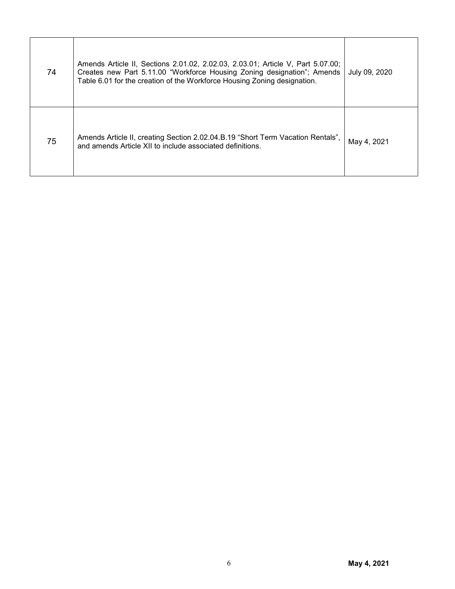| 74 | Amends Article II, Sections 2.01.02, 2.02.03, 2.03.01; Article V, Part 5.07.00;<br>Creates new Part 5.11.00 "Workforce Housing Zoning designation"; Amends<br>Table 6.01 for the creation of the Workforce Housing Zoning designation. | July 09, 2020 |
|----|----------------------------------------------------------------------------------------------------------------------------------------------------------------------------------------------------------------------------------------|---------------|
| 75 | Amends Article II, creating Section 2.02.04.B.19 "Short Term Vacation Rentals",<br>and amends Article XII to include associated definitions.                                                                                           | May 4, 2021   |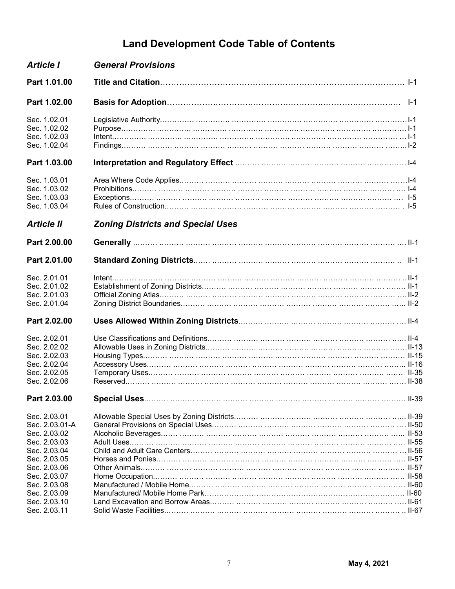### **Land Development Code Table of Contents**

| <b>Article I</b>                                                                             | <b>General Provisions</b>                |  |
|----------------------------------------------------------------------------------------------|------------------------------------------|--|
| Part 1.01.00                                                                                 |                                          |  |
| Part 1.02.00                                                                                 |                                          |  |
| Sec. 1.02.01<br>Sec. 1.02.02<br>Sec. 1.02.03<br>Sec. 1.02.04                                 |                                          |  |
| Part 1.03.00                                                                                 |                                          |  |
| Sec. 1.03.01<br>Sec. 1.03.02<br>Sec. 1.03.03<br>Sec. 1.03.04                                 |                                          |  |
| <b>Article II</b>                                                                            | <b>Zoning Districts and Special Uses</b> |  |
| Part 2.00.00                                                                                 |                                          |  |
| Part 2.01.00                                                                                 |                                          |  |
| Sec. 2.01.01<br>Sec. 2.01.02<br>Sec. 2.01.03<br>Sec. 2.01.04                                 |                                          |  |
| Part 2.02.00                                                                                 |                                          |  |
| Sec. 2.02.01<br>Sec. 2.02.02<br>Sec. 2.02.03<br>Sec. 2.02.04<br>Sec. 2.02.05<br>Sec. 2.02.06 |                                          |  |
| Part 2.03.00                                                                                 |                                          |  |
| Sec. 2.03.01<br>Sec. 2.03.01-A<br>Sec. 2.03.02<br>Sec. 2.03.03                               |                                          |  |
| Sec. 2.03.04<br>Sec. 2.03.05<br>Sec. 2.03.06<br>Sec. 2.03.07                                 |                                          |  |
| Sec. 2.03.08<br>Sec. 2.03.09<br>Sec. 2.03.10<br>Sec. 2.03.11                                 |                                          |  |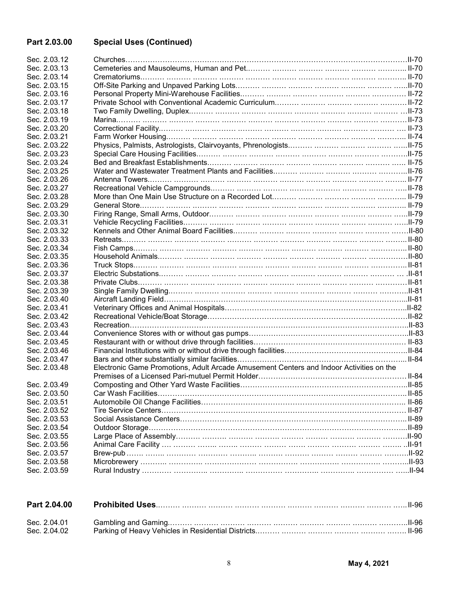#### **Part 2.03.00 Special Uses (Continued)**

| Sec. 2.03.12 |                                                                                         |  |
|--------------|-----------------------------------------------------------------------------------------|--|
| Sec. 2.03.13 |                                                                                         |  |
| Sec. 2.03.14 |                                                                                         |  |
| Sec. 2.03.15 |                                                                                         |  |
| Sec. 2.03.16 |                                                                                         |  |
| Sec. 2.03.17 |                                                                                         |  |
| Sec. 2.03.18 |                                                                                         |  |
| Sec. 2.03.19 |                                                                                         |  |
| Sec. 2.03.20 |                                                                                         |  |
| Sec. 2.03.21 |                                                                                         |  |
| Sec. 2.03.22 |                                                                                         |  |
| Sec. 2.03.23 |                                                                                         |  |
| Sec. 2.03.24 |                                                                                         |  |
| Sec. 2.03.25 |                                                                                         |  |
| Sec. 2.03.26 |                                                                                         |  |
| Sec. 2.03.27 |                                                                                         |  |
| Sec. 2.03.28 |                                                                                         |  |
| Sec. 2.03.29 |                                                                                         |  |
| Sec. 2.03.30 |                                                                                         |  |
| Sec. 2.03.31 |                                                                                         |  |
| Sec. 2.03.32 |                                                                                         |  |
| Sec. 2.03.33 |                                                                                         |  |
|              |                                                                                         |  |
| Sec. 2.03.34 |                                                                                         |  |
| Sec. 2.03.35 |                                                                                         |  |
| Sec. 2.03.36 |                                                                                         |  |
| Sec. 2.03.37 |                                                                                         |  |
| Sec. 2.03.38 |                                                                                         |  |
| Sec. 2.03.39 |                                                                                         |  |
| Sec. 2.03.40 |                                                                                         |  |
| Sec. 2.03.41 |                                                                                         |  |
| Sec. 2.03.42 |                                                                                         |  |
| Sec. 2.03.43 |                                                                                         |  |
| Sec. 2.03.44 |                                                                                         |  |
| Sec. 2.03.45 |                                                                                         |  |
| Sec. 2.03.46 |                                                                                         |  |
| Sec. 2.03.47 |                                                                                         |  |
| Sec. 2.03.48 | Electronic Game Promotions, Adult Arcade Amusement Centers and Indoor Activities on the |  |
|              |                                                                                         |  |
| Sec. 2.03.49 |                                                                                         |  |
| Sec. 2.03.50 |                                                                                         |  |
| Sec. 2.03.51 |                                                                                         |  |
| Sec. 2.03.52 |                                                                                         |  |
| Sec. 2.03.53 |                                                                                         |  |
| Sec. 2.03.54 |                                                                                         |  |
| Sec. 2.03.55 |                                                                                         |  |
| Sec. 2.03.56 |                                                                                         |  |
| Sec. 2.03.57 |                                                                                         |  |
| Sec. 2.03.58 |                                                                                         |  |
| Sec. 2.03.59 |                                                                                         |  |

| Part 2.04.00 |  |
|--------------|--|
|              |  |
| Sec. 2.04.02 |  |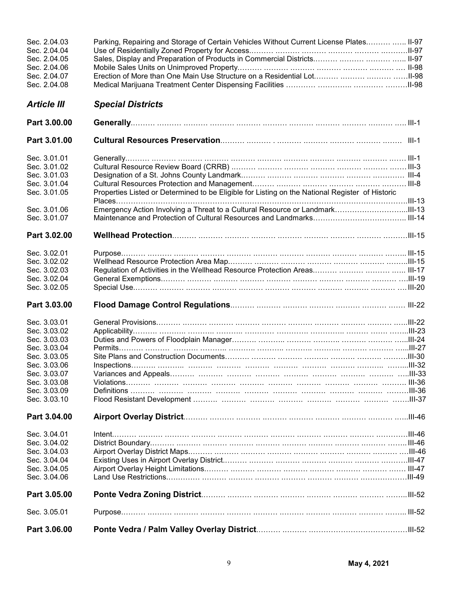| Sec. 2.04.03<br>Sec. 2.04.04<br>Sec. 2.04.05<br>Sec. 2.04.06<br>Sec. 2.04.07<br>Sec. 2.04.08 | Parking, Repairing and Storage of Certain Vehicles Without Current License Plates  II-97<br>Sales, Display and Preparation of Products in Commercial Districts    II-97<br>Erection of More than One Main Use Structure on a Residential Lot   II-98 |  |
|----------------------------------------------------------------------------------------------|------------------------------------------------------------------------------------------------------------------------------------------------------------------------------------------------------------------------------------------------------|--|
| <b>Article III</b>                                                                           | <b>Special Districts</b>                                                                                                                                                                                                                             |  |
| Part 3.00.00                                                                                 |                                                                                                                                                                                                                                                      |  |
|                                                                                              |                                                                                                                                                                                                                                                      |  |
| Part 3.01.00                                                                                 |                                                                                                                                                                                                                                                      |  |
| Sec. 3.01.01                                                                                 |                                                                                                                                                                                                                                                      |  |
| Sec. 3.01.02                                                                                 |                                                                                                                                                                                                                                                      |  |
| Sec. 3.01.03                                                                                 |                                                                                                                                                                                                                                                      |  |
| Sec. 3.01.04                                                                                 |                                                                                                                                                                                                                                                      |  |
| Sec. 3.01.05                                                                                 | Properties Listed or Determined to be Eligible for Listing on the National Register of Historic                                                                                                                                                      |  |
|                                                                                              |                                                                                                                                                                                                                                                      |  |
| Sec. 3.01.06                                                                                 |                                                                                                                                                                                                                                                      |  |
| Sec. 3.01.07                                                                                 |                                                                                                                                                                                                                                                      |  |
| Part 3.02.00                                                                                 |                                                                                                                                                                                                                                                      |  |
|                                                                                              |                                                                                                                                                                                                                                                      |  |
| Sec. 3.02.01                                                                                 |                                                                                                                                                                                                                                                      |  |
| Sec. 3.02.02                                                                                 |                                                                                                                                                                                                                                                      |  |
| Sec. 3.02.03                                                                                 |                                                                                                                                                                                                                                                      |  |
| Sec. 3.02.04                                                                                 |                                                                                                                                                                                                                                                      |  |
| Sec. 3.02.05                                                                                 |                                                                                                                                                                                                                                                      |  |
| Part 3.03.00                                                                                 |                                                                                                                                                                                                                                                      |  |
| Sec. 3.03.01                                                                                 |                                                                                                                                                                                                                                                      |  |
| Sec. 3.03.02                                                                                 |                                                                                                                                                                                                                                                      |  |
| Sec. 3.03.03                                                                                 |                                                                                                                                                                                                                                                      |  |
| Sec. 3.03.04                                                                                 |                                                                                                                                                                                                                                                      |  |
| Sec. 3.03.05                                                                                 |                                                                                                                                                                                                                                                      |  |
| Sec. 3.03.06                                                                                 |                                                                                                                                                                                                                                                      |  |
| Sec. 3.03.07                                                                                 |                                                                                                                                                                                                                                                      |  |
| Sec. 3.03.08                                                                                 |                                                                                                                                                                                                                                                      |  |
| Sec. 3.03.09                                                                                 |                                                                                                                                                                                                                                                      |  |
| Sec. 3.03.10                                                                                 |                                                                                                                                                                                                                                                      |  |
| Part 3.04.00                                                                                 |                                                                                                                                                                                                                                                      |  |
| Sec. 3.04.01                                                                                 |                                                                                                                                                                                                                                                      |  |
| Sec. 3.04.02                                                                                 |                                                                                                                                                                                                                                                      |  |
| Sec. 3.04.03                                                                                 |                                                                                                                                                                                                                                                      |  |
| Sec. 3.04.04                                                                                 |                                                                                                                                                                                                                                                      |  |
| Sec. 3.04.05                                                                                 |                                                                                                                                                                                                                                                      |  |
| Sec. 3.04.06                                                                                 |                                                                                                                                                                                                                                                      |  |
| Part 3.05.00                                                                                 |                                                                                                                                                                                                                                                      |  |
| Sec. 3.05.01                                                                                 |                                                                                                                                                                                                                                                      |  |
| Part 3.06.00                                                                                 |                                                                                                                                                                                                                                                      |  |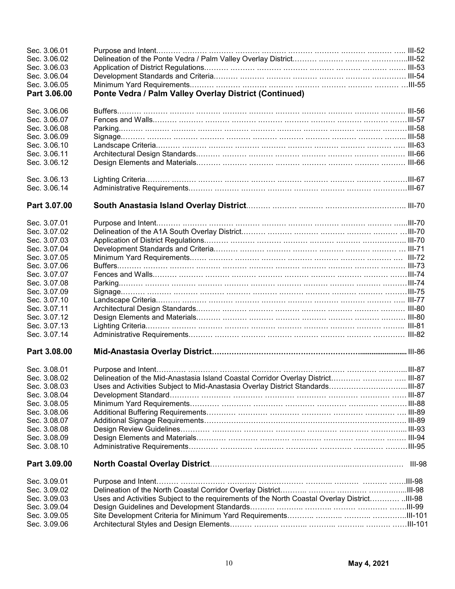| Sec. 3.06.01<br>Sec. 3.06.02 |                                                                                              |               |
|------------------------------|----------------------------------------------------------------------------------------------|---------------|
| Sec. 3.06.03                 |                                                                                              |               |
| Sec. 3.06.04                 |                                                                                              |               |
| Sec. 3.06.05                 |                                                                                              |               |
|                              |                                                                                              |               |
| Part 3.06.00                 | Ponte Vedra / Palm Valley Overlay District (Continued)                                       |               |
| Sec. 3.06.06<br>Sec. 3.06.07 |                                                                                              |               |
|                              |                                                                                              |               |
| Sec. 3.06.08                 |                                                                                              |               |
| Sec. 3.06.09                 |                                                                                              |               |
| Sec. 3.06.10                 |                                                                                              |               |
| Sec. 3.06.11                 |                                                                                              |               |
| Sec. 3.06.12                 |                                                                                              |               |
| Sec. 3.06.13                 |                                                                                              |               |
| Sec. 3.06.14                 |                                                                                              |               |
| Part 3.07.00                 |                                                                                              |               |
| Sec. 3.07.01                 |                                                                                              |               |
| Sec. 3.07.02                 |                                                                                              |               |
| Sec. 3.07.03                 |                                                                                              |               |
| Sec. 3.07.04                 |                                                                                              |               |
| Sec. 3.07.05                 |                                                                                              |               |
| Sec. 3.07.06                 |                                                                                              |               |
| Sec. 3.07.07                 |                                                                                              |               |
| Sec. 3.07.08                 |                                                                                              |               |
| Sec. 3.07.09                 |                                                                                              |               |
| Sec. 3.07.10                 |                                                                                              |               |
| Sec. 3.07.11                 |                                                                                              |               |
| Sec. 3.07.12                 |                                                                                              |               |
| Sec. 3.07.13                 |                                                                                              |               |
| Sec. 3.07.14                 |                                                                                              |               |
| Part 3.08.00                 |                                                                                              |               |
| Sec. 3.08.01                 |                                                                                              |               |
| Sec. 3.08.02                 | Delineation of the Mid-Anastasia Island Coastal Corridor Overlay District  III-87            |               |
| Sec. 3.08.03                 | Uses and Activities Subject to Mid-Anastasia Overlay District StandardsIII-87                |               |
| Sec. 3.08.04                 |                                                                                              |               |
| Sec. 3.08.05                 |                                                                                              |               |
| Sec. 3.08.06                 |                                                                                              |               |
| Sec. 3.08.07                 |                                                                                              |               |
| Sec. 3.08.08                 |                                                                                              |               |
| Sec. 3.08.09                 |                                                                                              |               |
| Sec. 3.08.10                 |                                                                                              |               |
| Part 3.09.00                 |                                                                                              | <b>III-98</b> |
| Sec. 3.09.01                 |                                                                                              |               |
| Sec. 3.09.02                 |                                                                                              |               |
| Sec. 3.09.03                 | Uses and Activities Subject to the requirements of the North Coastal Overlay District III-98 |               |
| Sec. 3.09.04                 |                                                                                              |               |
| Sec. 3.09.05                 |                                                                                              |               |
| Sec. 3.09.06                 |                                                                                              |               |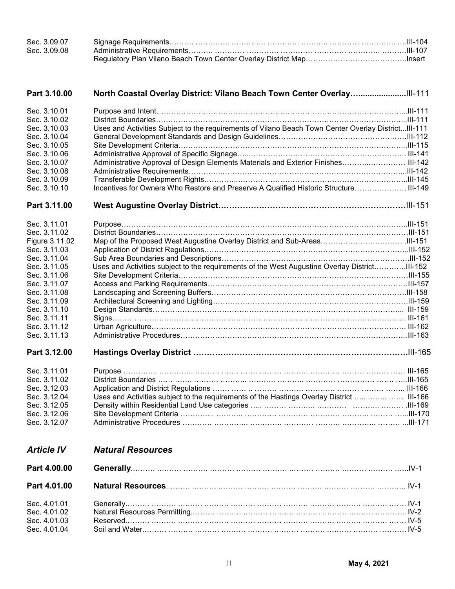| Sec. 3.09.07 |  |
|--------------|--|
| Sec. 3.09.08 |  |
|              |  |

| Part 3.10.00      |                                                                                                      |  |
|-------------------|------------------------------------------------------------------------------------------------------|--|
| Sec. 3.10.01      |                                                                                                      |  |
| Sec. 3.10.02      |                                                                                                      |  |
| Sec. 3.10.03      | Uses and Activities Subject to the requirements of Vilano Beach Town Center Overlay District III-111 |  |
| Sec. 3.10.04      |                                                                                                      |  |
| Sec. 3.10.05      |                                                                                                      |  |
| Sec. 3.10.06      |                                                                                                      |  |
| Sec. 3.10.07      | Administrative Approval of Design Elements Materials and Exterior Finishes III-142                   |  |
| Sec. 3.10.08      |                                                                                                      |  |
| Sec. 3.10.09      |                                                                                                      |  |
| Sec. 3.10.10      | Incentives for Owners Who Restore and Preserve A Qualified Historic Structure III-149                |  |
| Part 3.11.00      |                                                                                                      |  |
| Sec. 3.11.01      |                                                                                                      |  |
| Sec. 3.11.02      |                                                                                                      |  |
| Figure 3.11.02    |                                                                                                      |  |
| Sec. 3.11.03      |                                                                                                      |  |
| Sec. 3.11.04      |                                                                                                      |  |
| Sec. 3.11.05      | Uses and Activities subject to the requirements of the West Augustine Overlay DistrictIII-152        |  |
| Sec. 3.11.06      |                                                                                                      |  |
| Sec. 3.11.07      |                                                                                                      |  |
| Sec. 3.11.08      |                                                                                                      |  |
| Sec. 3.11.09      |                                                                                                      |  |
| Sec. 3.11.10      |                                                                                                      |  |
| Sec. 3.11.11      |                                                                                                      |  |
| Sec. 3.11.12      |                                                                                                      |  |
| Sec. 3.11.13      |                                                                                                      |  |
| Part 3.12.00      |                                                                                                      |  |
| Sec. 3.11.01      |                                                                                                      |  |
| Sec. 3.11.02      |                                                                                                      |  |
| Sec. 3.12.03      |                                                                                                      |  |
| Sec. 3.12.04      | Uses and Activities subject to the requirements of the Hastings Overlay District    III-166          |  |
| Sec. 3.12.05      |                                                                                                      |  |
| Sec. 3.12.06      |                                                                                                      |  |
| Sec. 3.12.07      |                                                                                                      |  |
|                   |                                                                                                      |  |
| <b>Article IV</b> | <b>Natural Resources</b>                                                                             |  |
| Part 4.00.00      |                                                                                                      |  |
| Part 4.01.00      |                                                                                                      |  |
| Sec. 4.01.01      |                                                                                                      |  |
| Sec. 4.01.02      |                                                                                                      |  |
| Sec. 4.01.03      |                                                                                                      |  |
| Sec. 4.01.04      |                                                                                                      |  |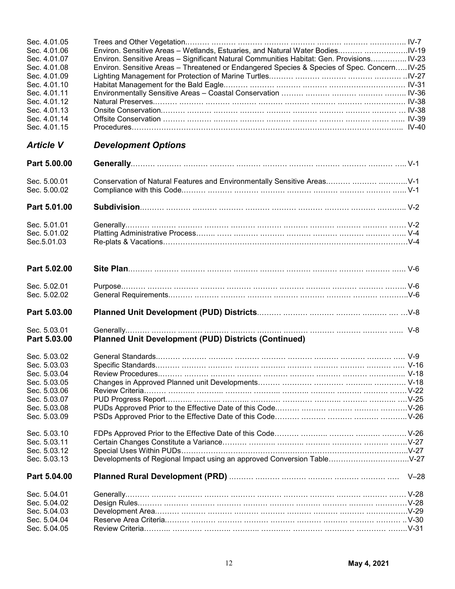| Sec. 4.01.05                 |                                                                                              |  |
|------------------------------|----------------------------------------------------------------------------------------------|--|
| Sec. 4.01.06                 |                                                                                              |  |
| Sec. 4.01.07                 | Environ. Sensitive Areas - Significant Natural Communities Habitat: Gen. Provisions IV-23    |  |
| Sec. 4.01.08                 | Environ. Sensitive Areas - Threatened or Endangered Species & Species of Spec. Concern IV-25 |  |
| Sec. 4.01.09                 |                                                                                              |  |
| Sec. 4.01.10                 |                                                                                              |  |
| Sec. 4.01.11                 |                                                                                              |  |
| Sec. 4.01.12                 |                                                                                              |  |
| Sec. 4.01.13                 |                                                                                              |  |
| Sec. 4.01.14                 |                                                                                              |  |
| Sec. 4.01.15                 |                                                                                              |  |
| <b>Article V</b>             | <b>Development Options</b>                                                                   |  |
|                              |                                                                                              |  |
| Part 5.00.00                 |                                                                                              |  |
| Sec. 5.00.01                 | Conservation of Natural Features and Environmentally Sensitive Areas   V-1                   |  |
| Sec. 5.00.02                 |                                                                                              |  |
|                              |                                                                                              |  |
| Part 5.01.00                 |                                                                                              |  |
| Sec. 5.01.01                 |                                                                                              |  |
| Sec. 5.01.02                 |                                                                                              |  |
| Sec.5.01.03                  |                                                                                              |  |
|                              |                                                                                              |  |
| Part 5.02.00                 |                                                                                              |  |
|                              |                                                                                              |  |
| Sec. 5.02.01                 |                                                                                              |  |
| Sec. 5.02.02                 |                                                                                              |  |
| Part 5.03.00                 |                                                                                              |  |
|                              |                                                                                              |  |
| Sec. 5.03.01<br>Part 5.03.00 | <b>Planned Unit Development (PUD) Districts (Continued)</b>                                  |  |
|                              |                                                                                              |  |
| Sec. 5.03.02                 |                                                                                              |  |
| Sec. 5.03.03                 |                                                                                              |  |
| Sec. 5.03.04                 |                                                                                              |  |
| Sec. 5.03.05                 |                                                                                              |  |
| Sec. 5.03.06                 |                                                                                              |  |
| Sec. 5.03.07                 |                                                                                              |  |
| Sec. 5.03.08                 |                                                                                              |  |
| Sec. 5.03.09                 |                                                                                              |  |
|                              |                                                                                              |  |
| Sec. 5.03.10                 |                                                                                              |  |
| Sec. 5.03.11                 |                                                                                              |  |
| Sec. 5.03.12                 |                                                                                              |  |
| Sec. 5.03.13                 | Developments of Regional Impact using an approved Conversion TableV-27                       |  |
| Part 5.04.00                 |                                                                                              |  |
|                              |                                                                                              |  |
| Sec. 5.04.01                 |                                                                                              |  |
| Sec. 5.04.02                 |                                                                                              |  |
| Sec. 5.04.03                 |                                                                                              |  |
| Sec. 5.04.04<br>Sec. 5.04.05 |                                                                                              |  |
|                              |                                                                                              |  |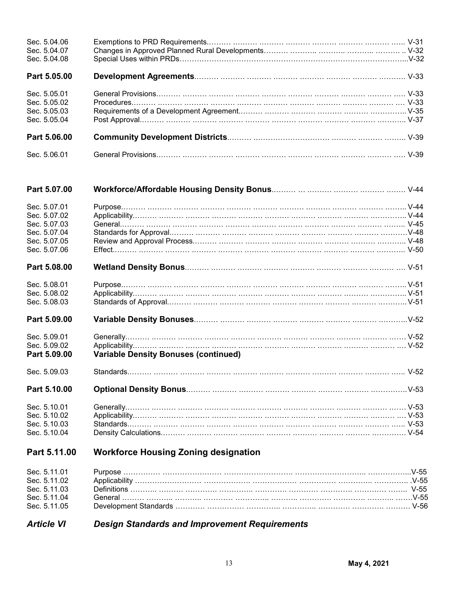| Sec. 5.04.06 |  |
|--------------|--|
| Sec. 5.04.07 |  |
| Sec. 5.04.08 |  |
| Part 5.05.00 |  |
| Sec. 5.05.01 |  |
| Sec. 5.05.02 |  |
| Sec. 5.05.03 |  |
| Sec. 5.05.04 |  |
| Part 5.06.00 |  |
| Sec. 5.06.01 |  |

| Part 5.07.00                 |                                             |  |
|------------------------------|---------------------------------------------|--|
| Sec. 5.07.01                 |                                             |  |
| Sec. 5.07.02                 |                                             |  |
| Sec. 5.07.03                 |                                             |  |
| Sec. 5.07.04                 |                                             |  |
| Sec. 5.07.05                 |                                             |  |
| Sec. 5.07.06                 |                                             |  |
| Part 5.08.00                 |                                             |  |
| Sec. 5.08.01                 |                                             |  |
| Sec. 5.08.02                 |                                             |  |
| Sec. 5.08.03                 |                                             |  |
| Part 5.09.00                 |                                             |  |
| Sec. 5.09.01                 |                                             |  |
| Sec. 5.09.02<br>Part 5.09.00 | <b>Variable Density Bonuses (continued)</b> |  |
| Sec. 5.09.03                 |                                             |  |
| Part 5.10.00                 |                                             |  |
| Sec. 5.10.01                 |                                             |  |
| Sec. 5.10.02                 |                                             |  |
| Sec. 5.10.03                 |                                             |  |
| Sec. 5.10.04                 |                                             |  |
| Part 5.11.00                 | <b>Workforce Housing Zoning designation</b> |  |

# Sec. 5.11.01 Purpose …………… …………………… ………………………. ……………………….. ……………...V-55

| Sec. 5.11.01 |  |
|--------------|--|
| Sec. 5.11.02 |  |
| Sec. 5.11.03 |  |
| Sec. 5.11.04 |  |
| Sec. 5.11.05 |  |
|              |  |

#### *Article VI Design Standards and Improvement Requirements*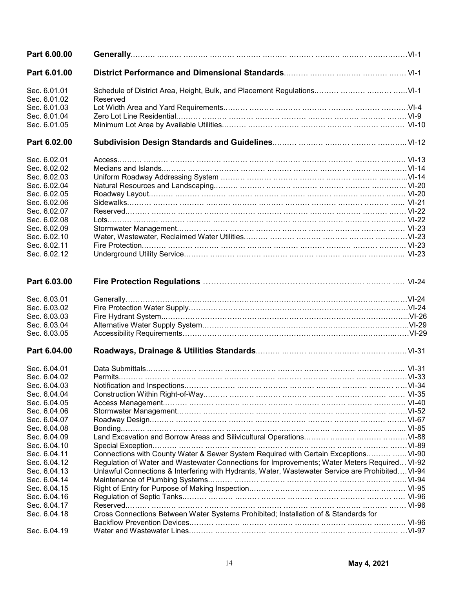| Part 6.00.00 |                                                                                                  |  |
|--------------|--------------------------------------------------------------------------------------------------|--|
| Part 6.01.00 |                                                                                                  |  |
| Sec. 6.01.01 | Schedule of District Area, Height, Bulk, and Placement Regulations    VI-1                       |  |
| Sec. 6.01.02 | Reserved                                                                                         |  |
| Sec. 6.01.03 |                                                                                                  |  |
| Sec. 6.01.04 |                                                                                                  |  |
| Sec. 6.01.05 |                                                                                                  |  |
| Part 6.02.00 |                                                                                                  |  |
| Sec. 6.02.01 |                                                                                                  |  |
| Sec. 6.02.02 |                                                                                                  |  |
| Sec. 6.02.03 |                                                                                                  |  |
| Sec. 6.02.04 |                                                                                                  |  |
| Sec. 6.02.05 |                                                                                                  |  |
| Sec. 6.02.06 |                                                                                                  |  |
| Sec. 6.02.07 |                                                                                                  |  |
| Sec. 6.02.08 |                                                                                                  |  |
| Sec. 6.02.09 |                                                                                                  |  |
| Sec. 6.02.10 |                                                                                                  |  |
| Sec. 6.02.11 |                                                                                                  |  |
| Sec. 6.02.12 |                                                                                                  |  |
| Part 6.03.00 |                                                                                                  |  |
| Sec. 6.03.01 |                                                                                                  |  |
| Sec. 6.03.02 |                                                                                                  |  |
| Sec. 6.03.03 |                                                                                                  |  |
| Sec. 6.03.04 |                                                                                                  |  |
| Sec. 6.03.05 |                                                                                                  |  |
| Part 6.04.00 |                                                                                                  |  |
| Sec. 6.04.01 |                                                                                                  |  |
| Sec. 6.04.02 |                                                                                                  |  |
| Sec. 6.04.03 |                                                                                                  |  |
| Sec. 6.04.04 |                                                                                                  |  |
| Sec. 6.04.05 |                                                                                                  |  |
| Sec. 6.04.06 |                                                                                                  |  |
| Sec. 6.04.07 |                                                                                                  |  |
| Sec. 6.04.08 |                                                                                                  |  |
| Sec. 6.04.09 |                                                                                                  |  |
| Sec. 6.04.10 |                                                                                                  |  |
| Sec. 6.04.11 | Connections with County Water & Sewer System Required with Certain Exceptions  VI-90             |  |
| Sec. 6.04.12 | Regulation of Water and Wastewater Connections for Improvements; Water Meters Required VI-92     |  |
| Sec. 6.04.13 | Unlawful Connections & Interfering with Hydrants, Water, Wastewater Service are Prohibited VI-94 |  |
| Sec. 6.04.14 |                                                                                                  |  |
| Sec. 6.04.15 |                                                                                                  |  |
| Sec. 6.04.16 |                                                                                                  |  |
| Sec. 6.04.17 |                                                                                                  |  |
| Sec. 6.04.18 | Cross Connections Between Water Systems Prohibited; Installation of & Standards for              |  |
| Sec. 6.04.19 |                                                                                                  |  |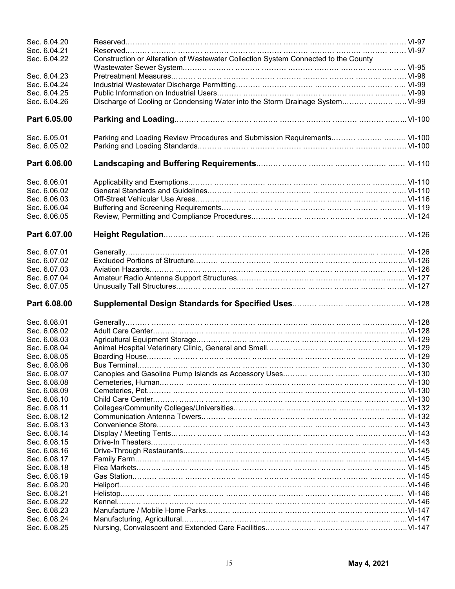| Sec. 6.04.20<br>Sec. 6.04.21<br>Sec. 6.04.22 | Construction or Alteration of Wastewater Collection System Connected to the County |  |
|----------------------------------------------|------------------------------------------------------------------------------------|--|
|                                              |                                                                                    |  |
| Sec. 6.04.23                                 |                                                                                    |  |
| Sec. 6.04.24                                 |                                                                                    |  |
| Sec. 6.04.25                                 |                                                                                    |  |
| Sec. 6.04.26                                 | Discharge of Cooling or Condensing Water into the Storm Drainage System  VI-99     |  |
| Part 6.05.00                                 |                                                                                    |  |
|                                              |                                                                                    |  |
| Sec. 6.05.01                                 | Parking and Loading Review Procedures and Submission Requirements   VI-100         |  |
| Sec. 6.05.02                                 |                                                                                    |  |
| Part 6.06.00                                 |                                                                                    |  |
| Sec. 6.06.01                                 |                                                                                    |  |
| Sec. 6.06.02                                 |                                                                                    |  |
| Sec. 6.06.03                                 |                                                                                    |  |
| Sec. 6.06.04                                 |                                                                                    |  |
| Sec. 6.06.05                                 |                                                                                    |  |
| Part 6.07.00                                 |                                                                                    |  |
| Sec. 6.07.01                                 |                                                                                    |  |
| Sec. 6.07.02                                 |                                                                                    |  |
| Sec. 6.07.03                                 |                                                                                    |  |
| Sec. 6.07.04                                 |                                                                                    |  |
| Sec. 6.07.05                                 |                                                                                    |  |
| Part 6.08.00                                 |                                                                                    |  |
| Sec. 6.08.01                                 |                                                                                    |  |
| Sec. 6.08.02                                 |                                                                                    |  |
| Sec. 6.08.03                                 |                                                                                    |  |
| Sec. 6.08.04                                 |                                                                                    |  |
| Sec. 6.08.05                                 |                                                                                    |  |
| Sec. 6.08.06                                 |                                                                                    |  |
| Sec. 6.08.07                                 |                                                                                    |  |
| Sec. 6.08.08                                 |                                                                                    |  |
| Sec. 6.08.09                                 |                                                                                    |  |
| Sec. 6.08.10                                 |                                                                                    |  |
| Sec. 6.08.11                                 |                                                                                    |  |
| Sec. 6.08.12                                 |                                                                                    |  |
| Sec. 6.08.13                                 |                                                                                    |  |
| Sec. 6.08.14                                 |                                                                                    |  |
| Sec. 6.08.15                                 |                                                                                    |  |
| Sec. 6.08.16                                 |                                                                                    |  |
| Sec. 6.08.17                                 |                                                                                    |  |
| Sec. 6.08.18                                 |                                                                                    |  |
| Sec. 6.08.19                                 |                                                                                    |  |
| Sec. 6.08.20                                 |                                                                                    |  |
| Sec. 6.08.21                                 |                                                                                    |  |
| Sec. 6.08.22                                 |                                                                                    |  |
| Sec. 6.08.23                                 |                                                                                    |  |
| Sec. 6.08.24                                 |                                                                                    |  |
| Sec. 6.08.25                                 |                                                                                    |  |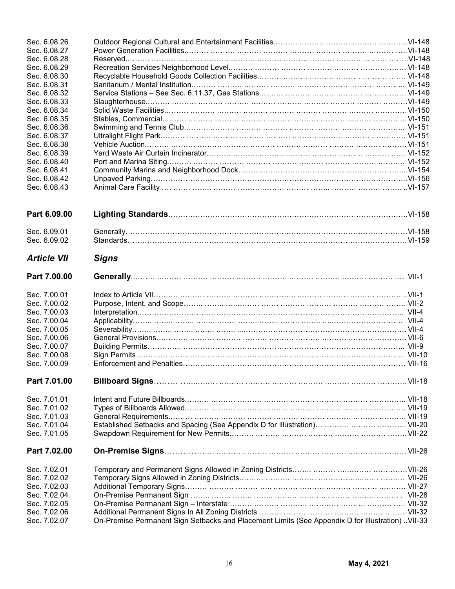| Sec. 6.08.26       |                                                                                                  |  |
|--------------------|--------------------------------------------------------------------------------------------------|--|
| Sec. 6.08.27       |                                                                                                  |  |
| Sec. 6.08.28       |                                                                                                  |  |
| Sec. 6.08.29       |                                                                                                  |  |
| Sec. 6.08.30       |                                                                                                  |  |
| Sec. 6.08.31       |                                                                                                  |  |
|                    |                                                                                                  |  |
| Sec. 6.08.32       |                                                                                                  |  |
| Sec. 6.08.33       |                                                                                                  |  |
| Sec. 6.08.34       |                                                                                                  |  |
| Sec. 6.08.35       |                                                                                                  |  |
| Sec. 6.08.36       |                                                                                                  |  |
| Sec. 6.08.37       |                                                                                                  |  |
| Sec. 6.08.38       |                                                                                                  |  |
| Sec. 6.08.39       |                                                                                                  |  |
| Sec. 6.08.40       |                                                                                                  |  |
| Sec. 6.08.41       |                                                                                                  |  |
| Sec. 6.08.42       |                                                                                                  |  |
| Sec. 6.08.43       |                                                                                                  |  |
|                    |                                                                                                  |  |
| Part 6.09.00       |                                                                                                  |  |
|                    |                                                                                                  |  |
| Sec. 6.09.01       |                                                                                                  |  |
| Sec. 6.09.02       |                                                                                                  |  |
|                    |                                                                                                  |  |
| <b>Article VII</b> | <b>Signs</b>                                                                                     |  |
| Part 7.00.00       |                                                                                                  |  |
| Sec. 7.00.01       |                                                                                                  |  |
| Sec. 7.00.02       |                                                                                                  |  |
| Sec. 7.00.03       |                                                                                                  |  |
| Sec. 7.00.04       |                                                                                                  |  |
| Sec. 7.00.05       |                                                                                                  |  |
| Sec. 7.00.06       |                                                                                                  |  |
| Sec. 7.00.07       |                                                                                                  |  |
|                    |                                                                                                  |  |
| Sec. 7.00.08       |                                                                                                  |  |
| Sec. 7.00.09       |                                                                                                  |  |
| Part 7.01.00       |                                                                                                  |  |
| Sec. 7.01.01       |                                                                                                  |  |
| Sec. 7.01.02       | Types of Billboards Allowed……… ……… ……… ……… ……… ……… ……… ……… ……… … VII-19                          |  |
| Sec. 7.01.03       |                                                                                                  |  |
| Sec. 7.01.04       |                                                                                                  |  |
| Sec. 7.01.05       |                                                                                                  |  |
| Part 7.02.00       |                                                                                                  |  |
|                    |                                                                                                  |  |
| Sec. 7.02.01       |                                                                                                  |  |
| Sec. 7.02.02       |                                                                                                  |  |
| Sec. 7.02.03       |                                                                                                  |  |
| Sec. 7.02.04       |                                                                                                  |  |
| Sec. 7.02.05       |                                                                                                  |  |
| Sec. 7.02.06       |                                                                                                  |  |
| Sec. 7.02.07       | On-Premise Permanent Sign Setbacks and Placement Limits (See Appendix D for Illustration) VII-33 |  |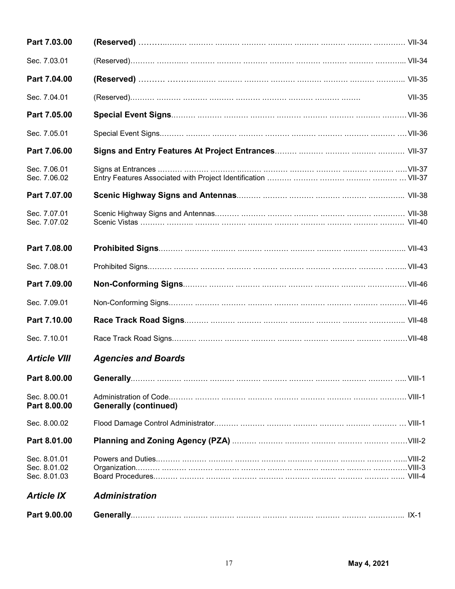| Part 7.03.00                                 |                              |               |
|----------------------------------------------|------------------------------|---------------|
| Sec. 7.03.01                                 |                              |               |
| Part 7.04.00                                 |                              |               |
| Sec. 7.04.01                                 |                              | <b>VII-35</b> |
| Part 7.05.00                                 |                              |               |
| Sec. 7.05.01                                 |                              |               |
| Part 7.06.00                                 |                              |               |
| Sec. 7.06.01<br>Sec. 7.06.02                 |                              |               |
| Part 7.07.00                                 |                              |               |
| Sec. 7.07.01<br>Sec. 7.07.02                 |                              |               |
| Part 7.08.00                                 |                              |               |
| Sec. 7.08.01                                 |                              |               |
| Part 7.09.00                                 |                              |               |
| Sec. 7.09.01                                 |                              |               |
| Part 7.10.00                                 |                              |               |
| Sec. 7.10.01                                 |                              |               |
| <b>Article VIII</b>                          | <b>Agencies and Boards</b>   |               |
| Part 8.00.00                                 |                              |               |
| Sec. 8.00.01<br>Part 8.00.00                 | <b>Generally (continued)</b> |               |
| Sec. 8.00.02                                 |                              |               |
| Part 8.01.00                                 |                              |               |
| Sec. 8.01.01<br>Sec. 8.01.02<br>Sec. 8.01.03 |                              |               |
| <b>Article IX</b>                            | <b>Administration</b>        |               |
| Part 9.00.00                                 |                              |               |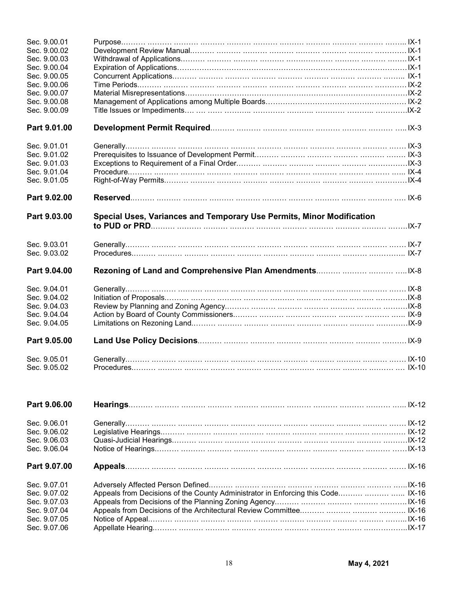| Sec. 9.00.01                 |                                                                       |  |
|------------------------------|-----------------------------------------------------------------------|--|
| Sec. 9.00.02                 |                                                                       |  |
| Sec. 9.00.03<br>Sec. 9.00.04 |                                                                       |  |
| Sec. 9.00.05                 |                                                                       |  |
| Sec. 9.00.06                 |                                                                       |  |
| Sec. 9.00.07                 |                                                                       |  |
| Sec. 9.00.08                 |                                                                       |  |
| Sec. 9.00.09                 |                                                                       |  |
| Part 9.01.00                 |                                                                       |  |
| Sec. 9.01.01                 |                                                                       |  |
| Sec. 9.01.02                 |                                                                       |  |
| Sec. 9.01.03                 |                                                                       |  |
| Sec. 9.01.04                 |                                                                       |  |
| Sec. 9.01.05                 |                                                                       |  |
| Part 9.02.00                 |                                                                       |  |
|                              |                                                                       |  |
| Part 9.03.00                 | Special Uses, Variances and Temporary Use Permits, Minor Modification |  |
|                              |                                                                       |  |
| Sec. 9.03.01                 |                                                                       |  |
| Sec. 9.03.02                 |                                                                       |  |
| Part 9.04.00                 |                                                                       |  |
| Sec. 9.04.01                 |                                                                       |  |
| Sec. 9.04.02                 |                                                                       |  |
| Sec. 9.04.03                 |                                                                       |  |
| Sec. 9.04.04                 |                                                                       |  |
| Sec. 9.04.05                 |                                                                       |  |
| Part 9.05.00                 |                                                                       |  |
| Sec. 9.05.01<br>Sec. 9.05.02 |                                                                       |  |

| Part 9.06.00 |                                                                                  |  |
|--------------|----------------------------------------------------------------------------------|--|
| Sec. 9.06.01 |                                                                                  |  |
| Sec. 9.06.02 |                                                                                  |  |
| Sec. 9.06.03 |                                                                                  |  |
| Sec. 9.06.04 |                                                                                  |  |
| Part 9.07.00 |                                                                                  |  |
| Sec. 9.07.01 |                                                                                  |  |
| Sec. 9.07.02 | Appeals from Decisions of the County Administrator in Enforcing this Code  IX-16 |  |
| Sec. 9.07.03 |                                                                                  |  |
| Sec. 9.07.04 | Appeals from Decisions of the Architectural Review Committee   IX-16             |  |
| Sec. 9.07.05 |                                                                                  |  |
| Sec. 9.07.06 |                                                                                  |  |
|              |                                                                                  |  |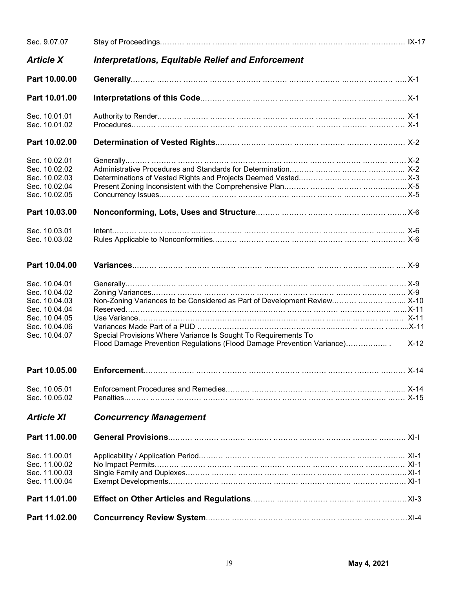| Sec. 9.07.07                                    |                                                                            |        |
|-------------------------------------------------|----------------------------------------------------------------------------|--------|
| <b>Article X</b>                                | <b>Interpretations, Equitable Relief and Enforcement</b>                   |        |
| Part 10.00.00                                   |                                                                            |        |
| Part 10.01.00                                   |                                                                            |        |
| Sec. 10.01.01                                   |                                                                            |        |
| Sec. 10.01.02                                   |                                                                            |        |
| Part 10.02.00                                   |                                                                            |        |
| Sec. 10.02.01<br>Sec. 10.02.02                  |                                                                            |        |
| Sec. 10.02.03<br>Sec. 10.02.04<br>Sec. 10.02.05 |                                                                            |        |
| Part 10.03.00                                   |                                                                            |        |
| Sec. 10.03.01<br>Sec. 10.03.02                  |                                                                            |        |
| Part 10.04.00                                   |                                                                            |        |
| Sec. 10.04.01<br>Sec. 10.04.02<br>Sec. 10.04.03 | Non-Zoning Variances to be Considered as Part of Development Review   X-10 |        |
| Sec. 10.04.04                                   |                                                                            |        |
| Sec. 10.04.05<br>Sec. 10.04.06<br>Sec. 10.04.07 | Special Provisions Where Variance Is Sought To Requirements To             |        |
|                                                 | Flood Damage Prevention Regulations (Flood Damage Prevention Variance)     | $X-12$ |
|                                                 |                                                                            |        |
| Sec. 10.05.01<br>Sec. 10.05.02                  |                                                                            |        |
| <b>Article XI</b>                               | <b>Concurrency Management</b>                                              |        |
| Part 11.00.00                                   |                                                                            |        |
| Sec. 11.00.01<br>Sec. 11.00.02                  |                                                                            |        |
| Sec. 11.00.03<br>Sec. 11.00.04                  |                                                                            |        |
| Part 11.01.00                                   |                                                                            |        |
| Part 11.02.00                                   |                                                                            |        |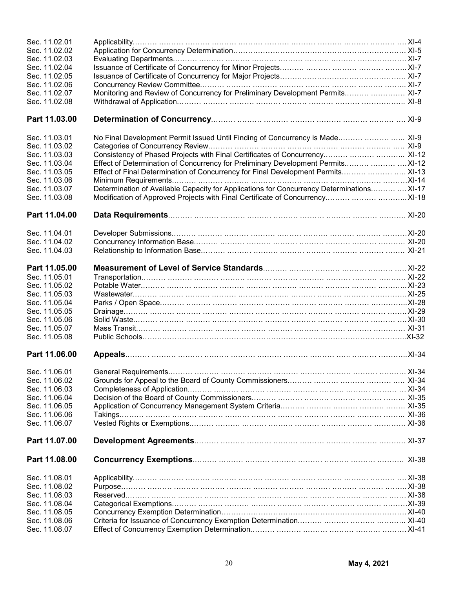| Sec. 11.02.01 |                                                                                            |  |
|---------------|--------------------------------------------------------------------------------------------|--|
| Sec. 11.02.02 |                                                                                            |  |
| Sec. 11.02.03 |                                                                                            |  |
| Sec. 11.02.04 |                                                                                            |  |
| Sec. 11.02.05 |                                                                                            |  |
| Sec. 11.02.06 |                                                                                            |  |
| Sec. 11.02.07 | Monitoring and Review of Concurrency for Preliminary Development Permits  XI-7             |  |
| Sec. 11.02.08 |                                                                                            |  |
| Part 11.03.00 |                                                                                            |  |
|               |                                                                                            |  |
| Sec. 11.03.01 | No Final Development Permit Issued Until Finding of Concurrency is Made  XI-9              |  |
| Sec. 11.03.02 |                                                                                            |  |
| Sec. 11.03.03 | Consistency of Phased Projects with Final Certificates of Concurrency   XI-12              |  |
| Sec. 11.03.04 | Effect of Determination of Concurrency for Preliminary Development Permits   XI-12         |  |
| Sec. 11.03.05 | Effect of Final Determination of Concurrency for Final Development Permits  XI-13          |  |
| Sec. 11.03.06 |                                                                                            |  |
| Sec. 11.03.07 | Determination of Available Capacity for Applications for Concurrency Determinations  XI-17 |  |
| Sec. 11.03.08 | Modification of Approved Projects with Final Certificate of Concurrency   XI-18            |  |
| Part 11.04.00 |                                                                                            |  |
|               |                                                                                            |  |
| Sec. 11.04.01 |                                                                                            |  |
| Sec. 11.04.02 |                                                                                            |  |
| Sec. 11.04.03 |                                                                                            |  |
| Part 11.05.00 |                                                                                            |  |
| Sec. 11.05.01 |                                                                                            |  |
| Sec. 11.05.02 |                                                                                            |  |
| Sec. 11.05.03 |                                                                                            |  |
| Sec. 11.05.04 |                                                                                            |  |
| Sec. 11.05.05 |                                                                                            |  |
| Sec. 11.05.06 |                                                                                            |  |
| Sec. 11.05.07 |                                                                                            |  |
| Sec. 11.05.08 |                                                                                            |  |
| Part 11.06.00 |                                                                                            |  |
| Sec. 11.06.01 |                                                                                            |  |
| Sec. 11.06.02 |                                                                                            |  |
| Sec. 11.06.03 |                                                                                            |  |
| Sec. 11.06.04 |                                                                                            |  |
| Sec. 11.06.05 |                                                                                            |  |
| Sec. 11.06.06 |                                                                                            |  |
| Sec. 11.06.07 |                                                                                            |  |
| Part 11.07.00 |                                                                                            |  |
| Part 11.08.00 |                                                                                            |  |
| Sec. 11.08.01 |                                                                                            |  |
| Sec. 11.08.02 |                                                                                            |  |
| Sec. 11.08.03 |                                                                                            |  |
| Sec. 11.08.04 |                                                                                            |  |
| Sec. 11.08.05 |                                                                                            |  |
| Sec. 11.08.06 |                                                                                            |  |
| Sec. 11.08.07 |                                                                                            |  |
|               |                                                                                            |  |